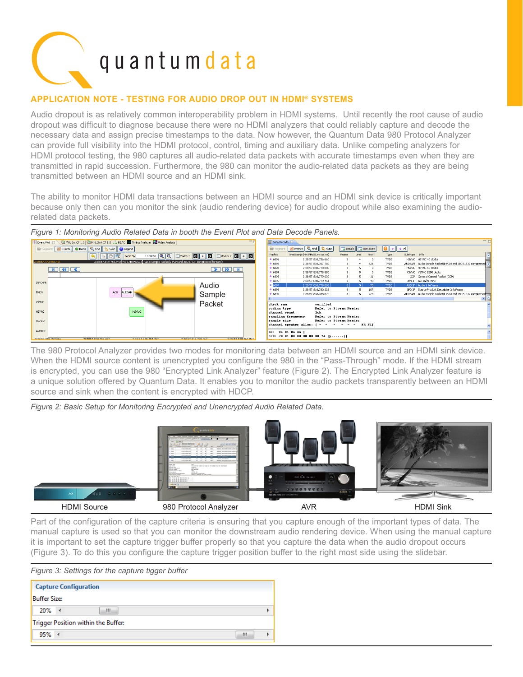

## **Application Note - Testing for audio drop out in hdmi® systems**

Audio dropout is as relatively common interoperability problem in HDMI systems. Until recently the root cause of audio dropout was difficult to diagnose because there were no HDMI analyzers that could reliably capture and decode the necessary data and assign precise timestamps to the data. Now however, the Quantum Data 980 Protocol Analyzer can provide full visibility into the HDMI protocol, control, timing and auxiliary data. Unlike competing analyzers for HDMI protocol testing, the 980 captures all audio-related data packets with accurate timestamps even when they are transmitted in rapid succession. Furthermore, the 980 can monitor the audio-related data packets as they are being transmitted between an HDMI source and an HDMI sink.

The ability to monitor HDMI data transactions between an HDMI source and an HDMI sink device is critically important because only then can you monitor the sink (audio rendering device) for audio dropout while also examining the audiorelated data packets.



The 980 Protocol Analyzer provides two modes for monitoring data between an HDMI source and an HDMI sink device. When the HDMI source content is unencrypted you configure the 980 in the "Pass-Through" mode. If the HDMI stream is encrypted, you can use the 980 "Encrypted Link Analyzer" feature (Figure 2). The Encrypted Link Analyzer feature is a unique solution offered by Quantum Data. It enables you to monitor the audio packets transparently between an HDMI source and sink when the content is encrypted with HDCP.

*Figure 2: Basic Setup for Monitoring Encrypted and Unencrypted Audio Related Data.*



Part of the configuration of the capture criteria is ensuring that you capture enough of the important types of data. The manual capture is used so that you can monitor the downstream audio rendering device. When using the manual capture it is important to set the capture trigger buffer properly so that you capture the data when the audio dropout occurs (Figure 3). To do this you configure the capture trigger position buffer to the right most side using the slidebar.

*Figure 3: Settings for the capture tigger buffer* 

|                                     | <b>Capture Configuration</b> |   |   |
|-------------------------------------|------------------------------|---|---|
| <b>Buffer Size:</b>                 |                              |   |   |
| 20%                                 | $\rightarrow$                | ш |   |
| Trigger Position within the Buffer: |                              |   |   |
| 95%                                 | $\rightarrow$                |   | Ш |